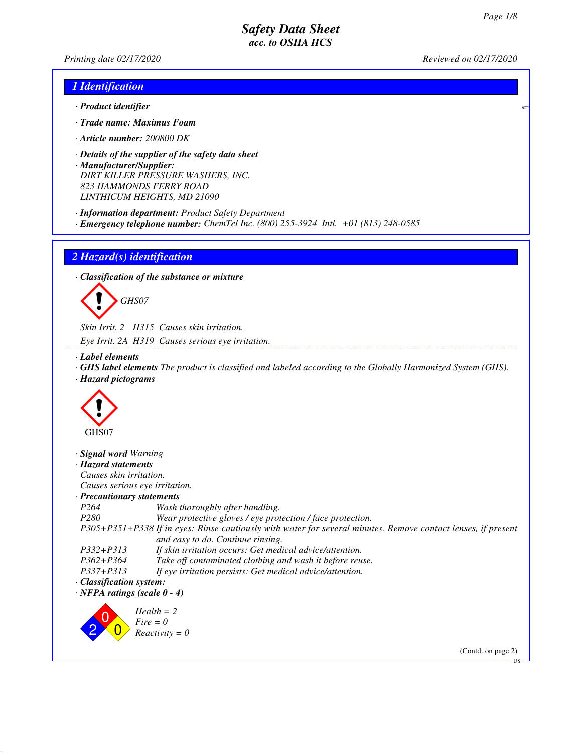*Printing date 02/17/2020 Reviewed on 02/17/2020*

### *1 Identification*

- *· Product identifier*
- *· Trade name: Maximus Foam*
- *· Article number: 200800 DK*
- *· Details of the supplier of the safety data sheet · Manufacturer/Supplier: DIRT KILLER PRESSURE WASHERS, INC. 823 HAMMONDS FERRY ROAD LINTHICUM HEIGHTS, MD 21090*
- *· Information department: Product Safety Department*
- *· Emergency telephone number: ChemTel Inc. (800) 255-3924 Intl. +01 (813) 248-0585*

*2 Hazard(s) identification*

*· Classification of the substance or mixture*



*Skin Irrit. 2 H315 Causes skin irritation.*

*Eye Irrit. 2A H319 Causes serious eye irritation.*

*· Label elements*

*· GHS label elements The product is classified and labeled according to the Globally Harmonized System (GHS). · Hazard pictograms*



*· Signal word Warning*

| · Hazard statements                |                                                                                                                                                    |
|------------------------------------|----------------------------------------------------------------------------------------------------------------------------------------------------|
| Causes skin irritation.            |                                                                                                                                                    |
| Causes serious eye irritation.     |                                                                                                                                                    |
| · Precautionary statements         |                                                                                                                                                    |
| P <sub>264</sub>                   | Wash thoroughly after handling.                                                                                                                    |
| P <sub>280</sub>                   | Wear protective gloves / eye protection / face protection.                                                                                         |
|                                    | P305+P351+P338 If in eyes: Rinse cautiously with water for several minutes. Remove contact lenses, if present<br>and easy to do. Continue rinsing. |
| $P332 + P313$                      | If skin irritation occurs: Get medical advice/attention.                                                                                           |
| $P362 + P364$                      | Take off contaminated clothing and wash it before reuse.                                                                                           |
| $P337 + P313$                      | If eye irritation persists: Get medical advice/attention.                                                                                          |
| Classification system:             |                                                                                                                                                    |
| $\cdot$ NFPA ratings (scale 0 - 4) |                                                                                                                                                    |

2  $\overline{0}$  $\overline{0}$ *Health = 2 Fire = 0 Reactivity = 0*

(Contd. on page 2)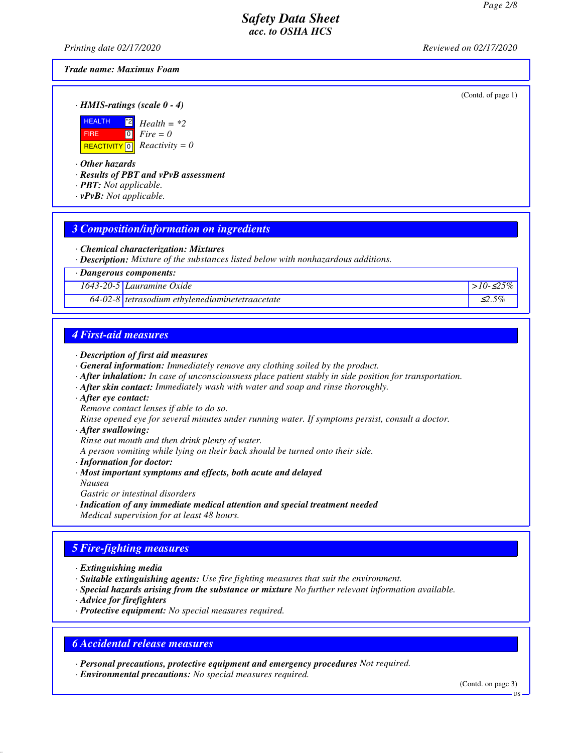*Printing date 02/17/2020 Reviewed on 02/17/2020*

(Contd. of page 1)

### *Trade name: Maximus Foam*

*· HMIS-ratings (scale 0 - 4)*



*· Other hazards*

*· Results of PBT and vPvB assessment*

- *· PBT: Not applicable.*
- *· vPvB: Not applicable.*

### *3 Composition/information on ingredients*

*· Chemical characterization: Mixtures*

*· Description: Mixture of the substances listed below with nonhazardous additions.*

*· Dangerous components:*

*1643-20-5 Lauramine Oxide >10-*≤*25%*

*64-02-8 tetrasodium ethylenediaminetetraacetate* ≤*2.5%*

### *4 First-aid measures*

#### *· Description of first aid measures*

- *· General information: Immediately remove any clothing soiled by the product.*
- *· After inhalation: In case of unconsciousness place patient stably in side position for transportation.*
- *· After skin contact: Immediately wash with water and soap and rinse thoroughly.*
- *· After eye contact:*

*Remove contact lenses if able to do so.*

*Rinse opened eye for several minutes under running water. If symptoms persist, consult a doctor.*

#### *· After swallowing:*

*Rinse out mouth and then drink plenty of water.*

*A person vomiting while lying on their back should be turned onto their side.*

- *· Information for doctor:*
- *· Most important symptoms and effects, both acute and delayed Nausea*
- *Gastric or intestinal disorders*
- *· Indication of any immediate medical attention and special treatment needed Medical supervision for at least 48 hours.*

### *5 Fire-fighting measures*

*· Extinguishing media*

- *· Suitable extinguishing agents: Use fire fighting measures that suit the environment.*
- *· Special hazards arising from the substance or mixture No further relevant information available.*
- *· Advice for firefighters*
- *· Protective equipment: No special measures required.*

### *6 Accidental release measures*

*· Personal precautions, protective equipment and emergency procedures Not required. · Environmental precautions: No special measures required.*

(Contd. on page 3)

US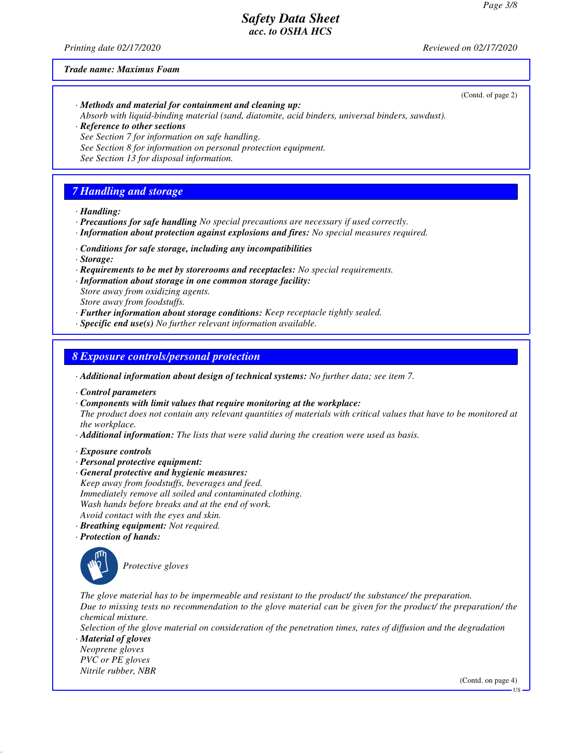*Printing date 02/17/2020 Reviewed on 02/17/2020*

(Contd. of page 2)

#### *Trade name: Maximus Foam*

- *· Methods and material for containment and cleaning up: Absorb with liquid-binding material (sand, diatomite, acid binders, universal binders, sawdust). · Reference to other sections*
- *See Section 7 for information on safe handling. See Section 8 for information on personal protection equipment.*
- *See Section 13 for disposal information.*

# *7 Handling and storage*

- *· Handling:*
- *· Precautions for safe handling No special precautions are necessary if used correctly.*
- *· Information about protection against explosions and fires: No special measures required.*
- *· Conditions for safe storage, including any incompatibilities*
- *· Storage:*
- *· Requirements to be met by storerooms and receptacles: No special requirements.*
- *· Information about storage in one common storage facility: Store away from oxidizing agents. Store away from foodstuffs.*
- *· Further information about storage conditions: Keep receptacle tightly sealed.*
- *· Specific end use(s) No further relevant information available.*

## *8 Exposure controls/personal protection*

- *· Additional information about design of technical systems: No further data; see item 7.*
- *· Control parameters*
- *· Components with limit values that require monitoring at the workplace:*
- *The product does not contain any relevant quantities of materials with critical values that have to be monitored at the workplace.*
- *· Additional information: The lists that were valid during the creation were used as basis.*
- *· Exposure controls*
- *· Personal protective equipment:*
- *· General protective and hygienic measures: Keep away from foodstuffs, beverages and feed. Immediately remove all soiled and contaminated clothing. Wash hands before breaks and at the end of work. Avoid contact with the eyes and skin.*
- *· Breathing equipment: Not required.*
- *· Protection of hands:*



\_S*Protective gloves*

*The glove material has to be impermeable and resistant to the product/ the substance/ the preparation. Due to missing tests no recommendation to the glove material can be given for the product/ the preparation/ the chemical mixture.*

*Selection of the glove material on consideration of the penetration times, rates of diffusion and the degradation*

*· Material of gloves Neoprene gloves PVC or PE gloves Nitrile rubber, NBR*

(Contd. on page 4)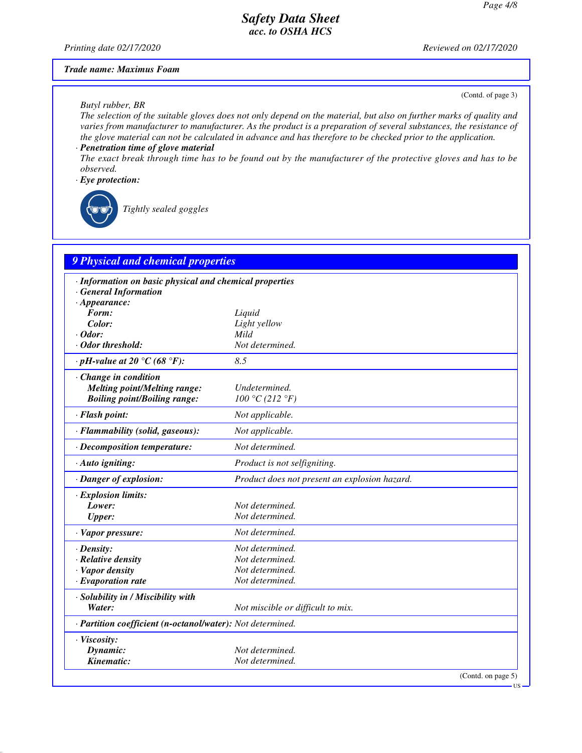*Printing date 02/17/2020 Reviewed on 02/17/2020*

#### *Trade name: Maximus Foam*

#### *Butyl rubber, BR*

(Contd. of page 3)

*The selection of the suitable gloves does not only depend on the material, but also on further marks of quality and varies from manufacturer to manufacturer. As the product is a preparation of several substances, the resistance of the glove material can not be calculated in advance and has therefore to be checked prior to the application.*

### *· Penetration time of glove material*

*The exact break through time has to be found out by the manufacturer of the protective gloves and has to be observed.*

### *· Eye protection:*



\_R*Tightly sealed goggles*

# *9 Physical and chemical properties*

| · Information on basic physical and chemical properties    |                                               |  |  |  |
|------------------------------------------------------------|-----------------------------------------------|--|--|--|
| <b>General Information</b>                                 |                                               |  |  |  |
| $\cdot$ Appearance:<br>Form:                               | Liquid                                        |  |  |  |
| Color:                                                     | Light yellow                                  |  |  |  |
| $\cdot$ Odor:                                              | Mild                                          |  |  |  |
| · Odor threshold:                                          | Not determined.                               |  |  |  |
| $\cdot$ pH-value at 20 °C (68 °F):                         | 8.5                                           |  |  |  |
| · Change in condition                                      |                                               |  |  |  |
| <b>Melting point/Melting range:</b>                        | Undetermined.                                 |  |  |  |
| <b>Boiling point/Boiling range:</b>                        | 100 °C (212 °F)                               |  |  |  |
| · Flash point:                                             | Not applicable.                               |  |  |  |
| · Flammability (solid, gaseous):                           | Not applicable.                               |  |  |  |
| $\cdot$ Decomposition temperature:                         | Not determined.                               |  |  |  |
| · Auto igniting:                                           | Product is not selfigniting.                  |  |  |  |
| · Danger of explosion:                                     | Product does not present an explosion hazard. |  |  |  |
| · Explosion limits:                                        |                                               |  |  |  |
| Lower:                                                     | Not determined.                               |  |  |  |
| <b>Upper:</b>                                              | Not determined.                               |  |  |  |
| · Vapor pressure:                                          | Not determined.                               |  |  |  |
| $\cdot$ Density:                                           | Not determined.                               |  |  |  |
| $\cdot$ Relative density                                   | Not determined.                               |  |  |  |
| · Vapor density                                            | Not determined.                               |  |  |  |
| $\cdot$ Evaporation rate                                   | Not determined.                               |  |  |  |
| · Solubility in / Miscibility with                         |                                               |  |  |  |
| Water:                                                     | Not miscible or difficult to mix.             |  |  |  |
| · Partition coefficient (n-octanol/water): Not determined. |                                               |  |  |  |
| · Viscosity:                                               |                                               |  |  |  |
| Dynamic:                                                   | Not determined.                               |  |  |  |
| Kinematic:                                                 | Not determined.                               |  |  |  |
|                                                            | (Contd. on page 5)<br>·us -                   |  |  |  |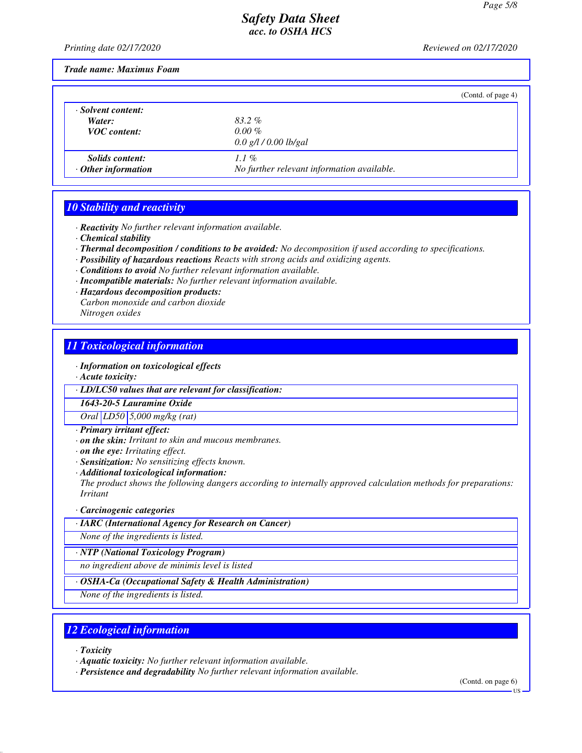*Printing date 02/17/2020 Reviewed on 02/17/2020*

*Trade name: Maximus Foam*

|                                                     |                                                    | (Contd. of page 4) |
|-----------------------------------------------------|----------------------------------------------------|--------------------|
| · Solvent content:<br>Water:<br><b>VOC</b> content: | 83.2%<br>$0.00\%$<br>$0.0$ g/l / 0.00 lb/gal       |                    |
| <b>Solids content:</b><br>$\cdot$ Other information | 1.1%<br>No further relevant information available. |                    |

# *10 Stability and reactivity*

*· Reactivity No further relevant information available.*

- *· Chemical stability*
- *· Thermal decomposition / conditions to be avoided: No decomposition if used according to specifications.*
- *· Possibility of hazardous reactions Reacts with strong acids and oxidizing agents.*
- *· Conditions to avoid No further relevant information available.*
- *· Incompatible materials: No further relevant information available.*
- *· Hazardous decomposition products:*

*Carbon monoxide and carbon dioxide*

*Nitrogen oxides*

## *11 Toxicological information*

*· Information on toxicological effects*

*· Acute toxicity:*

*· LD/LC50 values that are relevant for classification:*

*1643-20-5 Lauramine Oxide*

*Oral LD50 5,000 mg/kg (rat)*

- *· Primary irritant effect:*
- *· on the skin: Irritant to skin and mucous membranes.*
- *· on the eye: Irritating effect.*
- *· Sensitization: No sensitizing effects known.*
- *· Additional toxicological information:*

*The product shows the following dangers according to internally approved calculation methods for preparations: Irritant*

#### *· Carcinogenic categories*

*· IARC (International Agency for Research on Cancer)*

*None of the ingredients is listed.*

#### *· NTP (National Toxicology Program)*

*no ingredient above de minimis level is listed*

#### *· OSHA-Ca (Occupational Safety & Health Administration)*

*None of the ingredients is listed.*

# *12 Ecological information*

- *· Toxicity*
- *· Aquatic toxicity: No further relevant information available.*

*· Persistence and degradability No further relevant information available.*

(Contd. on page 6)

US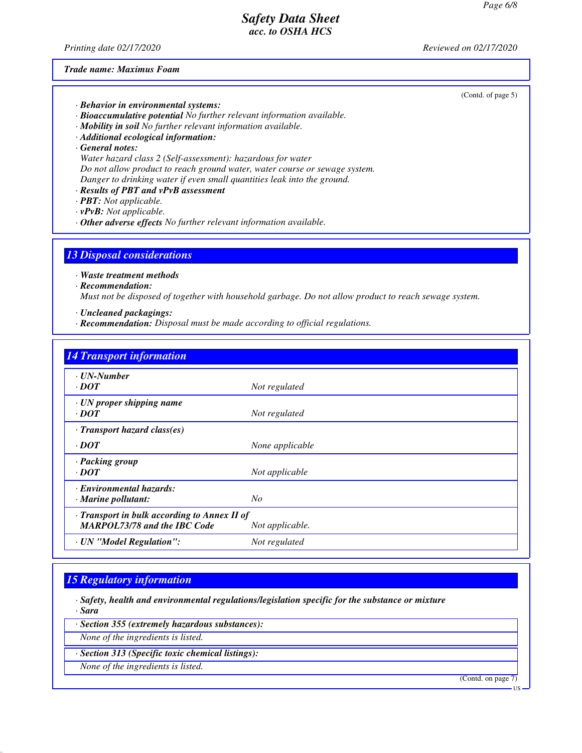*Printing date 02/17/2020 Reviewed on 02/17/2020*

#### *Trade name: Maximus Foam*

(Contd. of page 5)

- *· Behavior in environmental systems:*
- *· Bioaccumulative potential No further relevant information available.*
- *· Mobility in soil No further relevant information available.*
- *· Additional ecological information:*
- *· General notes:*
- *Water hazard class 2 (Self-assessment): hazardous for water Do not allow product to reach ground water, water course or sewage system. Danger to drinking water if even small quantities leak into the ground.*
- *· Results of PBT and vPvB assessment*
- *· PBT: Not applicable.*
- *· vPvB: Not applicable.*
- *· Other adverse effects No further relevant information available.*

### *13 Disposal considerations*

*· Waste treatment methods*

*· Recommendation:*

*Must not be disposed of together with household garbage. Do not allow product to reach sewage system.*

- *· Uncleaned packagings:*
- *· Recommendation: Disposal must be made according to official regulations.*

| <b>14 Transport information</b>                                                     |                 |
|-------------------------------------------------------------------------------------|-----------------|
| $\cdot$ UN-Number<br>$\cdot$ DOT                                                    | Not regulated   |
| $\cdot$ UN proper shipping name<br>$\cdot$ DOT                                      | Not regulated   |
| $\cdot$ Transport hazard class(es)                                                  |                 |
| $\cdot$ DOT                                                                         | None applicable |
| · Packing group<br>$\cdot$ <i>DOT</i>                                               | Not applicable  |
| Environmental hazards:<br>$\cdot$ Marine pollutant:                                 | No              |
| · Transport in bulk according to Annex II of<br><b>MARPOL73/78 and the IBC Code</b> | Not applicable. |
| · UN "Model Regulation":                                                            | Not regulated   |

### *15 Regulatory information*

*· Safety, health and environmental regulations/legislation specific for the substance or mixture · Sara*

*· Section 355 (extremely hazardous substances):*

*None of the ingredients is listed.*

*· Section 313 (Specific toxic chemical listings):*

*None of the ingredients is listed.*

(Contd. on page 7)

US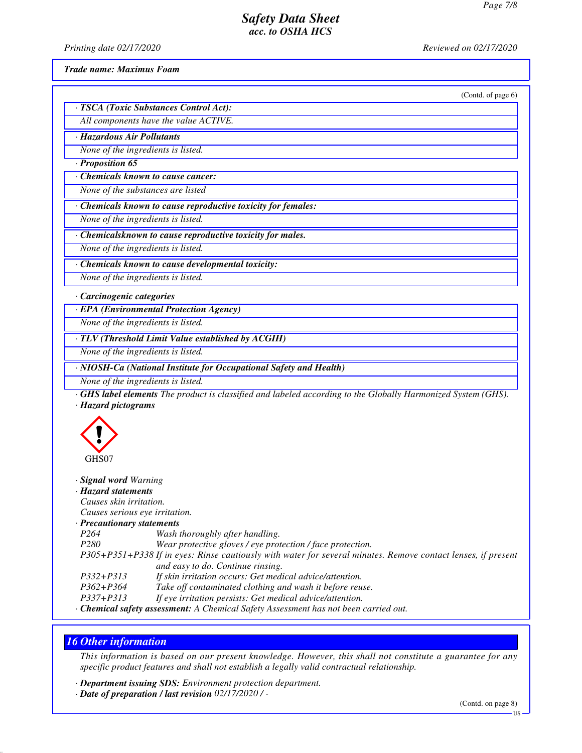*Printing date 02/17/2020 Reviewed on 02/17/2020*

#### *Trade name: Maximus Foam*

(Contd. of page 6)

| · TSCA (Toxic Substances Control Act): |
|----------------------------------------|
| All components have the value ACTIVE.  |

*· Hazardous Air Pollutants*

*None of the ingredients is listed.*

*· Proposition 65*

*· Chemicals known to cause cancer:*

*None of the substances are listed*

*· Chemicals known to cause reproductive toxicity for females:*

*None of the ingredients is listed.*

*· Chemicalsknown to cause reproductive toxicity for males.*

*None of the ingredients is listed.*

*· Chemicals known to cause developmental toxicity:*

*None of the ingredients is listed.*

*· Carcinogenic categories*

*· EPA (Environmental Protection Agency)*

*None of the ingredients is listed.*

*· TLV (Threshold Limit Value established by ACGIH)*

*None of the ingredients is listed.*

*· NIOSH-Ca (National Institute for Occupational Safety and Health)*

*None of the ingredients is listed.*

*· GHS label elements The product is classified and labeled according to the Globally Harmonized System (GHS). · Hazard pictograms*



#### *· Signal word Warning*

*· Hazard statements*

*Causes skin irritation. Causes serious eye irritation.*

*· Precautionary statements*

*P264 Wash thoroughly after handling.*

*P280 Wear protective gloves / eye protection / face protection.*

*P305+P351+P338 If in eyes: Rinse cautiously with water for several minutes. Remove contact lenses, if present and easy to do. Continue rinsing.*

*P332+P313 If skin irritation occurs: Get medical advice/attention.*

*P362+P364 Take off contaminated clothing and wash it before reuse.*

*P337+P313 If eye irritation persists: Get medical advice/attention.*

*· Chemical safety assessment: A Chemical Safety Assessment has not been carried out.*

# *16 Other information*

*This information is based on our present knowledge. However, this shall not constitute a guarantee for any specific product features and shall not establish a legally valid contractual relationship.*

*· Department issuing SDS: Environment protection department.*

*· Date of preparation / last revision 02/17/2020 / -*

(Contd. on page 8)

US